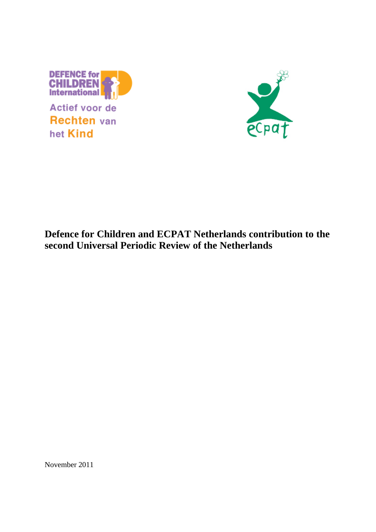

Actief voor de **Rechten** van het Kind



# **Defence for Children and ECPAT Netherlands contribution to the second Universal Periodic Review of the Netherlands**

November 2011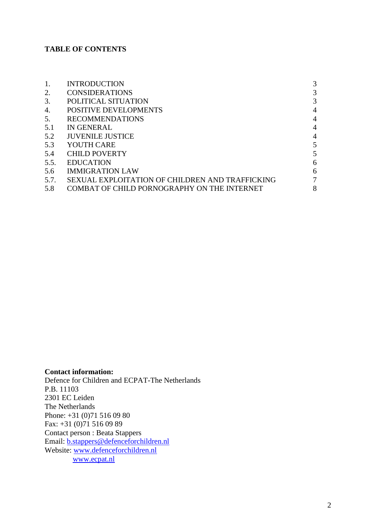# **TABLE OF CONTENTS**

| <b>INTRODUCTION</b>                             | 3              |
|-------------------------------------------------|----------------|
| <b>CONSIDERATIONS</b>                           | 3              |
| POLITICAL SITUATION                             | 3              |
| <b>POSITIVE DEVELOPMENTS</b>                    | $\overline{4}$ |
| <b>RECOMMENDATIONS</b>                          | $\overline{4}$ |
| IN GENERAL                                      | $\overline{4}$ |
| JUVENILE JUSTICE                                | $\overline{4}$ |
| YOUTH CARE                                      | 5              |
| <b>CHILD POVERTY</b>                            | 5              |
| <b>EDUCATION</b>                                | 6              |
| <b>IMMIGRATION LAW</b>                          | 6              |
| SEXUAL EXPLOITATION OF CHILDREN AND TRAFFICKING | $\tau$         |
| COMBAT OF CHILD PORNOGRAPHY ON THE INTERNET     | 8              |
|                                                 |                |

#### **Contact information:**

Defence for Children and ECPAT-The Netherlands P.B. 11103 2301 EC Leiden The Netherlands Phone: +31 (0)71 516 09 80 Fax: +31 (0)71 516 09 89 Contact person : Beata Stappers Email: [b.stappers@defenceforchildren.nl](mailto:b.stappers@defenceforchildren.nl) Website: [www.defenceforchildren.nl](http://www.defenceforchildren.nl/) [www.ecpat.nl](http://www.ecpat.nl/)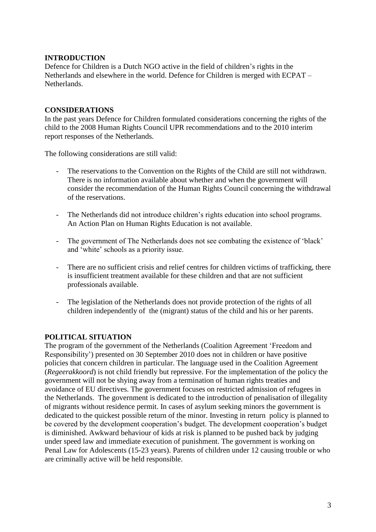# **INTRODUCTION**

Defence for Children is a Dutch NGO active in the field of children's rights in the Netherlands and elsewhere in the world. Defence for Children is merged with ECPAT – **Netherlands** 

## **CONSIDERATIONS**

In the past years Defence for Children formulated considerations concerning the rights of the child to the 2008 Human Rights Council UPR recommendations and to the 2010 interim report responses of the Netherlands.

The following considerations are still valid:

- The reservations to the Convention on the Rights of the Child are still not withdrawn. There is no information available about whether and when the government will consider the recommendation of the Human Rights Council concerning the withdrawal of the reservations.
- The Netherlands did not introduce children's rights education into school programs. An Action Plan on Human Rights Education is not available.
- The government of The Netherlands does not see combating the existence of 'black' and 'white' schools as a priority issue.
- There are no sufficient crisis and relief centres for children victims of trafficking, there is insufficient treatment available for these children and that are not sufficient professionals available.
- The legislation of the Netherlands does not provide protection of the rights of all children independently of the (migrant) status of the child and his or her parents.

#### **POLITICAL SITUATION**

The program of the government of the Netherlands (Coalition Agreement 'Freedom and Responsibility') presented on 30 September 2010 does not in children or have positive policies that concern children in particular. The language used in the Coalition Agreement (*Regeerakkoord*) is not child friendly but repressive. For the implementation of the policy the government will not be shying away from a termination of human rights treaties and avoidance of EU directives. The government focuses on restricted admission of refugees in the Netherlands. The government is dedicated to the introduction of penalisation of illegality of migrants without residence permit. In cases of asylum seeking minors the government is dedicated to the quickest possible return of the minor. Investing in return policy is planned to be covered by the development cooperation's budget. The development cooperation's budget is diminished. Awkward behaviour of kids at risk is planned to be pushed back by judging under speed law and immediate execution of punishment. The government is working on Penal Law for Adolescents (15-23 years). Parents of children under 12 causing trouble or who are criminally active will be held responsible.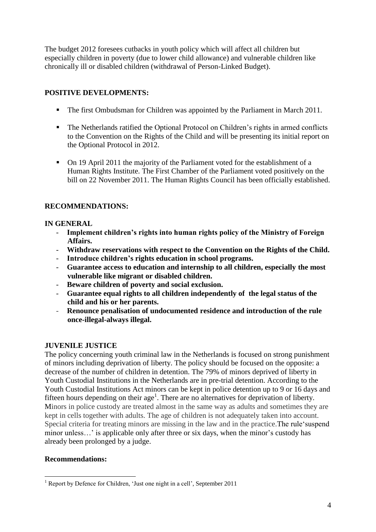The budget 2012 foresees cutbacks in youth policy which will affect all children but especially children in poverty (due to lower child allowance) and vulnerable children like chronically ill or disabled children (withdrawal of Person-Linked Budget).

# **POSITIVE DEVELOPMENTS:**

- The first Ombudsman for Children was appointed by the Parliament in March 2011.
- The Netherlands ratified the Optional Protocol on Children's rights in armed conflicts to the Convention on the Rights of the Child and will be presenting its initial report on the Optional Protocol in 2012.
- On 19 April 2011 the majority of the Parliament voted for the establishment of a Human Rights Institute. The First Chamber of the Parliament voted positively on the bill on 22 November 2011. The Human Rights Council has been officially established.

# **RECOMMENDATIONS:**

## **IN GENERAL**

- **Implement children's rights into human rights policy of the Ministry of Foreign Affairs.**
- **Withdraw reservations with respect to the Convention on the Rights of the Child.**
- **Introduce children's rights education in school programs.**
- **Guarantee access to education and internship to all children, especially the most vulnerable like migrant or disabled children.**
- **Beware children of poverty and social exclusion.**
- **Guarantee equal rights to all children independently of the legal status of the child and his or her parents.**
- **Renounce penalisation of undocumented residence and introduction of the rule once-illegal-always illegal.**

# **JUVENILE JUSTICE**

The policy concerning youth criminal law in the Netherlands is focused on strong punishment of minors including deprivation of liberty. The policy should be focused on the opposite: a decrease of the number of children in detention. The 79% of minors deprived of liberty in Youth Custodial Institutions in the Netherlands are in pre-trial detention. According to the Youth Custodial Institutions Act minors can be kept in police detention up to 9 or 16 days and fifteen hours depending on their  $age<sup>1</sup>$ . There are no alternatives for deprivation of liberty. Minors in police custody are treated almost in the same way as adults and sometimes they are kept in cells together with adults. The age of children is not adequately taken into account. Special criteria for treating minors are missing in the law and in the practice.The rule'suspend minor unless...' is applicable only after three or six days, when the minor's custody has already been prolonged by a judge.

# **Recommendations:**

<sup>1</sup> <sup>1</sup> Report by Defence for Children, 'Just one night in a cell', September 2011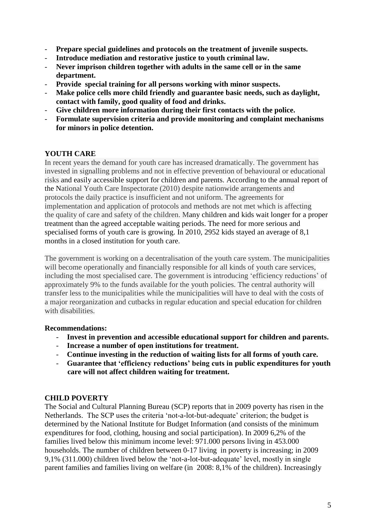- **Prepare special guidelines and protocols on the treatment of juvenile suspects.**
- **Introduce mediation and restorative justice to youth criminal law.**
- **Never imprison children together with adults in the same cell or in the same department.**
- **Provide special training for all persons working with minor suspects.**
- **Make police cells more child friendly and guarantee basic needs, such as daylight, contact with family, good quality of food and drinks.**
- **Give children more information during their first contacts with the police.**
- **Formulate supervision criteria and provide monitoring and complaint mechanisms for minors in police detention.**

# **YOUTH CARE**

In recent years the demand for youth care has increased dramatically. The government has invested in signalling problems and not in effective prevention of behavioural or educational risks and easily accessible support for children and parents. According to the annual report of the National Youth Care Inspectorate (2010) despite nationwide arrangements and protocols the daily practice is insufficient and not uniform. The agreements for implementation and application of protocols and methods are not met which is affecting the quality of care and safety of the children. Many children and kids wait longer for a proper treatment than the agreed acceptable waiting periods. The need for more serious and specialised forms of youth care is growing. In 2010, 2952 kids stayed an average of 8,1 months in a closed institution for youth care.

The government is working on a decentralisation of the youth care system. The municipalities will become operationally and financially responsible for all kinds of youth care services, including the most specialised care. The government is introducing 'efficiency reductions' of approximately 9% to the funds available for the youth policies. The central authority will transfer less to the municipalities while the municipalities will have to deal with the costs of a major reorganization and cutbacks in regular education and special education for children with disabilities.

# **Recommendations:**

- **Invest in prevention and accessible educational support for children and parents.**
- **Increase a number of open institutions for treatment.**
- **Continue investing in the reduction of waiting lists for all forms of youth care.**
- **Guarantee that 'efficiency reductions' being cuts in public expenditures for youth care will not affect children waiting for treatment.**

# **CHILD POVERTY**

The Social and Cultural Planning Bureau (SCP) reports that in 2009 poverty has risen in the Netherlands. The SCP uses the criteria 'not-a-lot-but-adequate' criterion; the budget is determined by the National Institute for Budget Information (and consists of the minimum expenditures for food, clothing, housing and social participation). In 2009 6,2% of the families lived below this minimum income level: 971.000 persons living in 453.000 households. The number of children between 0-17 living in poverty is increasing; in 2009 9,1% (311.000) children lived below the 'not-a-lot-but-adequate' level, mostly in single parent families and families living on welfare (in 2008: 8,1% of the children). Increasingly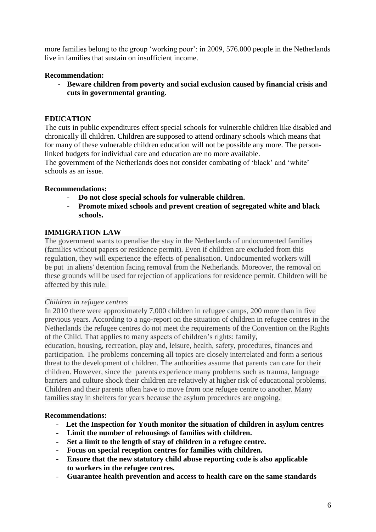more families belong to the group 'working poor': in 2009, 576.000 people in the Netherlands live in families that sustain on insufficient income.

# **Recommendation:**

**- Beware children from poverty and social exclusion caused by financial crisis and cuts in governmental granting.**

# **EDUCATION**

The cuts in public expenditures effect special schools for vulnerable children like disabled and chronically ill children. Children are supposed to attend ordinary schools which means that for many of these vulnerable children education will not be possible any more. The personlinked budgets for individual care and education are no more available.

The government of the Netherlands does not consider combating of 'black' and 'white' schools as an issue.

# **Recommendations:**

- **Do not close special schools for vulnerable children.**
- **Promote mixed schools and prevent creation of segregated white and black schools.**

# **IMMIGRATION LAW**

The government wants to penalise the stay in the Netherlands of undocumented families (families without papers or residence permit). Even if children are excluded from this regulation, they will experience the effects of penalisation. Undocumented workers will be put in aliens' detention facing removal from the Netherlands. Moreover, the removal on these grounds will be used for rejection of applications for residence permit. Children will be affected by this rule.

#### *Children in refugee centres*

In 2010 there were approximately 7,000 children in refugee camps, 200 more than in five previous years. According to a ngo-report on the situation of children in refugee centres in the Netherlands the refugee centres do not meet the requirements of the Convention on the Rights of the Child. That applies to many aspects of children's rights: family,

education, housing, recreation, play and, leisure, health, safety, procedures, finances and participation. The problems concerning all topics are closely interrelated and form a serious threat to the development of children. The authorities assume that parents can care for their children. However, since the parents experience many problems such as trauma, language barriers and culture shock their children are relatively at higher risk of educational problems. Children and their parents often have to move from one refugee centre to another. Many families stay in shelters for years because the asylum procedures are ongoing.

# **Recommendations:**

- **Let the Inspection for Youth monitor the situation of children in asylum centres**
- **- Limit the number of rehousings of families with children.**
- **- Set a limit to the length of stay of children in a refugee centre.**
- **- Focus on special reception centres for families with children.**
- **- Ensure that the new statutory child abuse reporting code is also applicable to workers in the refugee centres.**
- **- Guarantee health prevention and access to health care on the same standards**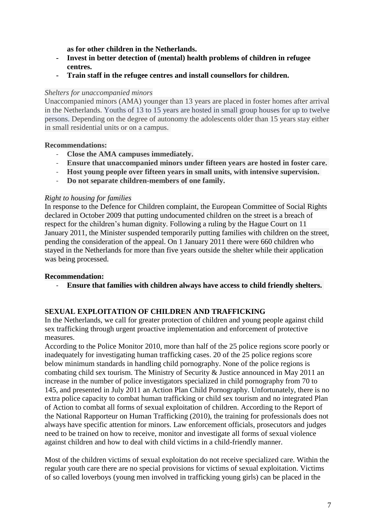**as for other children in the Netherlands.** 

- **- Invest in better detection of (mental) health problems of children in refugee centres.**
- **- Train staff in the refugee centres and install counsellors for children.**

#### *Shelters for unaccompanied minors*

Unaccompanied minors (AMA) younger than 13 years are placed in foster homes after arrival in the Netherlands. Youths of 13 to 15 years are hosted in small group houses for up to twelve persons. Depending on the degree of autonomy the adolescents older than 15 years stay either in small residential units or on a campus.

## **Recommendations:**

- **Close the AMA campuses immediately.**
- **Ensure that unaccompanied minors under fifteen years are hosted in foster care.**
- **Host young people over fifteen years in small units, with intensive supervision.**
- **Do not separate children-members of one family.**

## *Right to housing for families*

In response to the Defence for Children complaint, the European Committee of Social Rights declared in October 2009 that putting undocumented children on the street is a breach of respect for the children's human dignity. Following a ruling by the Hague Court on 11 January 2011, the Minister suspended temporarily putting families with children on the street, pending the consideration of the appeal. On 1 January 2011 there were 660 children who stayed in the Netherlands for more than five years outside the shelter while their application was being processed.

# **Recommendation:**

- **Ensure that families with children always have access to child friendly shelters.**

# **SEXUAL EXPLOITATION OF CHILDREN AND TRAFFICKING**

In the Netherlands, we call for greater protection of children and young people against child sex trafficking through urgent proactive implementation and enforcement of protective measures.

According to the Police Monitor 2010, more than half of the 25 police regions score poorly or inadequately for investigating human trafficking cases. 20 of the 25 police regions score below minimum standards in handling child pornography. None of the police regions is combating child sex tourism. The Ministry of Security & Justice announced in May 2011 an increase in the number of police investigators specialized in child pornography from 70 to 145, and presented in July 2011 an Action Plan Child Pornography. Unfortunately, there is no extra police capacity to combat human trafficking or child sex tourism and no integrated Plan of Action to combat all forms of sexual exploitation of children. According to the Report of the National Rapporteur on Human Trafficking (2010), the training for professionals does not always have specific attention for minors. Law enforcement officials, prosecutors and judges need to be trained on how to receive, monitor and investigate all forms of sexual violence against children and how to deal with child victims in a child-friendly manner.

Most of the children victims of sexual exploitation do not receive specialized care. Within the regular youth care there are no special provisions for victims of sexual exploitation. Victims of so called loverboys (young men involved in trafficking young girls) can be placed in the